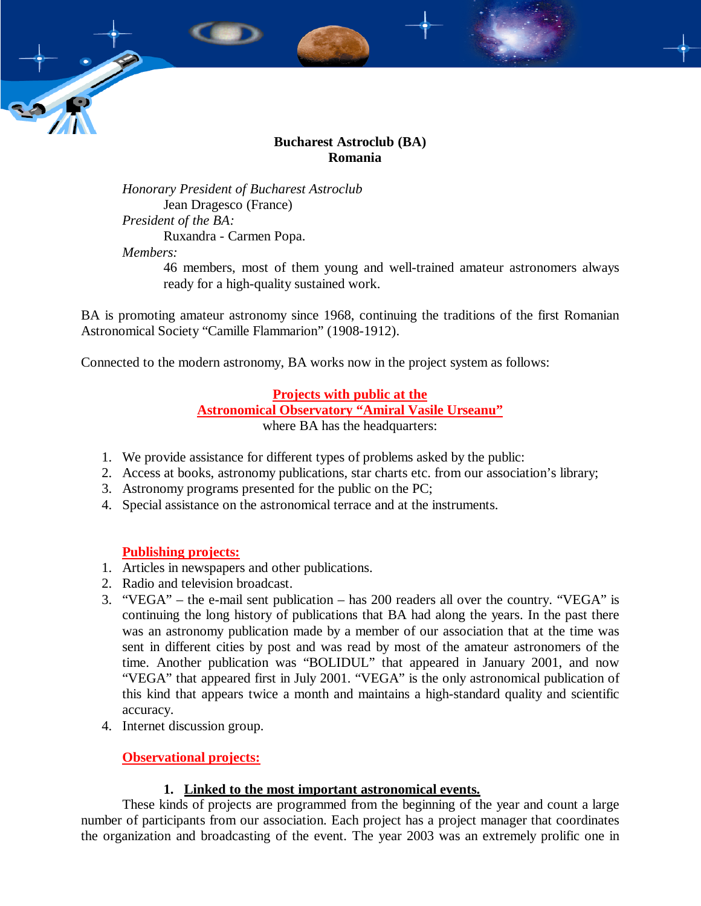

# **Bucharest Astroclub (BA) Romania**

*Honorary President of Bucharest Astroclub*  Jean Dragesco (France) *President of the BA:*  Ruxandra - Carmen Popa. *Members:* 

46 members, most of them young and well-trained amateur astronomers always ready for a high-quality sustained work.

BA is promoting amateur astronomy since 1968, continuing the traditions of the first Romanian Astronomical Society "Camille Flammarion" (1908-1912).

Connected to the modern astronomy, BA works now in the project system as follows:

# **Projects with public at the**

# **Astronomical Observatory "Amiral Vasile Urseanu"**

where BA has the headquarters:

- 1. We provide assistance for different types of problems asked by the public:
- 2. Access at books, astronomy publications, star charts etc. from our association's library;
- 3. Astronomy programs presented for the public on the PC;
- 4. Special assistance on the astronomical terrace and at the instruments.

## **Publishing projects:**

- 1. Articles in newspapers and other publications.
- 2. Radio and television broadcast.
- 3. "VEGA" the e-mail sent publication has 200 readers all over the country. "VEGA" is continuing the long history of publications that BA had along the years. In the past there was an astronomy publication made by a member of our association that at the time was sent in different cities by post and was read by most of the amateur astronomers of the time. Another publication was "BOLIDUL" that appeared in January 2001, and now "VEGA" that appeared first in July 2001. "VEGA" is the only astronomical publication of this kind that appears twice a month and maintains a high-standard quality and scientific accuracy.
- 4. Internet discussion group.

# **Observational projects:**

# **1. Linked to the most important astronomical events.**

These kinds of projects are programmed from the beginning of the year and count a large number of participants from our association. Each project has a project manager that coordinates the organization and broadcasting of the event. The year 2003 was an extremely prolific one in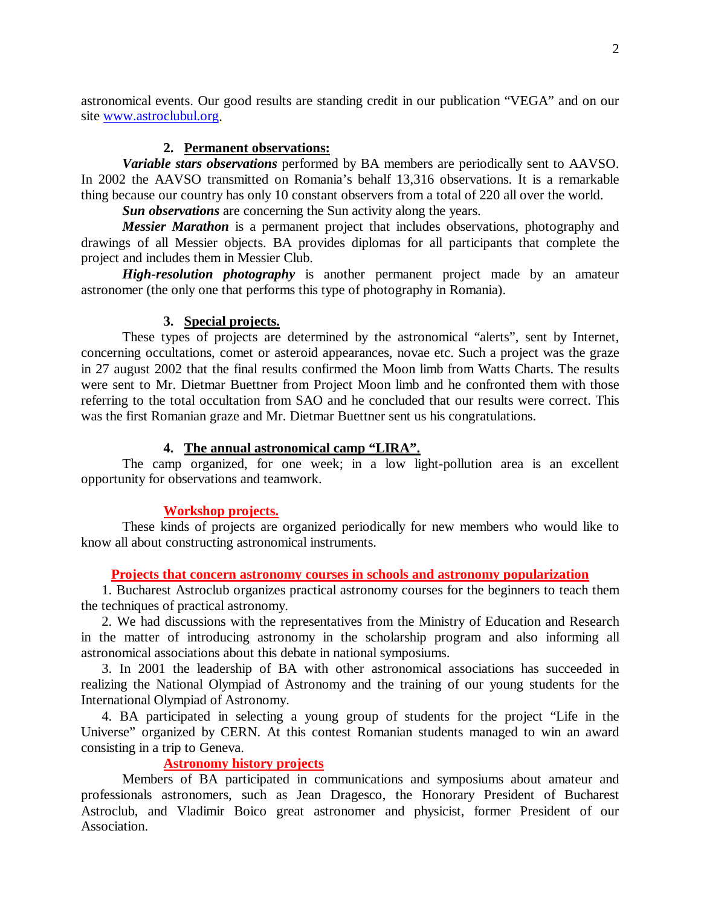astronomical events. Our good results are standing credit in our publication "VEGA" and on our site www.astroclubul.org.

#### **2. Permanent observations:**

*Variable stars observations* performed by BA members are periodically sent to AAVSO. In 2002 the AAVSO transmitted on Romania's behalf 13,316 observations. It is a remarkable thing because our country has only 10 constant observers from a total of 220 all over the world.

*Sun observations* are concerning the Sun activity along the years.

*Messier Marathon* is a permanent project that includes observations, photography and drawings of all Messier objects. BA provides diplomas for all participants that complete the project and includes them in Messier Club.

*High-resolution photography* is another permanent project made by an amateur astronomer (the only one that performs this type of photography in Romania).

#### **3. Special projects.**

These types of projects are determined by the astronomical "alerts", sent by Internet, concerning occultations, comet or asteroid appearances, novae etc. Such a project was the graze in 27 august 2002 that the final results confirmed the Moon limb from Watts Charts. The results were sent to Mr. Dietmar Buettner from Project Moon limb and he confronted them with those referring to the total occultation from SAO and he concluded that our results were correct. This was the first Romanian graze and Mr. Dietmar Buettner sent us his congratulations.

#### **4. The annual astronomical camp "LIRA".**

The camp organized, for one week; in a low light-pollution area is an excellent opportunity for observations and teamwork.

#### **Workshop projects.**

These kinds of projects are organized periodically for new members who would like to know all about constructing astronomical instruments.

#### **Projects that concern astronomy courses in schools and astronomy popularization**

1. Bucharest Astroclub organizes practical astronomy courses for the beginners to teach them the techniques of practical astronomy.

2. We had discussions with the representatives from the Ministry of Education and Research in the matter of introducing astronomy in the scholarship program and also informing all astronomical associations about this debate in national symposiums.

3. In 2001 the leadership of BA with other astronomical associations has succeeded in realizing the National Olympiad of Astronomy and the training of our young students for the International Olympiad of Astronomy.

4. BA participated in selecting a young group of students for the project "Life in the Universe" organized by CERN. At this contest Romanian students managed to win an award consisting in a trip to Geneva.

## **Astronomy history projects**

Members of BA participated in communications and symposiums about amateur and professionals astronomers, such as Jean Dragesco, the Honorary President of Bucharest Astroclub, and Vladimir Boico great astronomer and physicist, former President of our Association.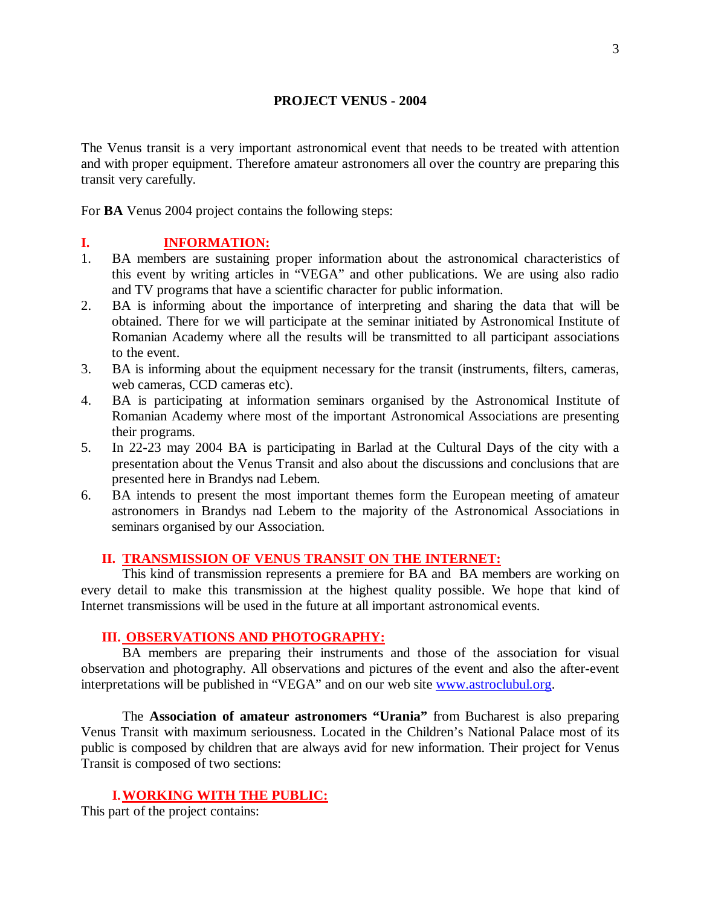#### **PROJECT VENUS - 2004**

The Venus transit is a very important astronomical event that needs to be treated with attention and with proper equipment. Therefore amateur astronomers all over the country are preparing this transit very carefully.

For **BA** Venus 2004 project contains the following steps:

## **I. INFORMATION:**

- 1. BA members are sustaining proper information about the astronomical characteristics of this event by writing articles in "VEGA" and other publications. We are using also radio and TV programs that have a scientific character for public information.
- 2. BA is informing about the importance of interpreting and sharing the data that will be obtained. There for we will participate at the seminar initiated by Astronomical Institute of Romanian Academy where all the results will be transmitted to all participant associations to the event.
- 3. BA is informing about the equipment necessary for the transit (instruments, filters, cameras, web cameras, CCD cameras etc).
- 4. BA is participating at information seminars organised by the Astronomical Institute of Romanian Academy where most of the important Astronomical Associations are presenting their programs.
- 5. In 22-23 may 2004 BA is participating in Barlad at the Cultural Days of the city with a presentation about the Venus Transit and also about the discussions and conclusions that are presented here in Brandys nad Lebem.
- 6. BA intends to present the most important themes form the European meeting of amateur astronomers in Brandys nad Lebem to the majority of the Astronomical Associations in seminars organised by our Association.

## **II. TRANSMISSION OF VENUS TRANSIT ON THE INTERNET:**

This kind of transmission represents a premiere for BA and BA members are working on every detail to make this transmission at the highest quality possible. We hope that kind of Internet transmissions will be used in the future at all important astronomical events.

## **III. OBSERVATIONS AND PHOTOGRAPHY:**

BA members are preparing their instruments and those of the association for visual observation and photography. All observations and pictures of the event and also the after-event interpretations will be published in "VEGA" and on our web site www.astroclubul.org.

 The **Association of amateur astronomers "Urania"** from Bucharest is also preparing Venus Transit with maximum seriousness. Located in the Children's National Palace most of its public is composed by children that are always avid for new information. Their project for Venus Transit is composed of two sections:

## **I. WORKING WITH THE PUBLIC:**

This part of the project contains: